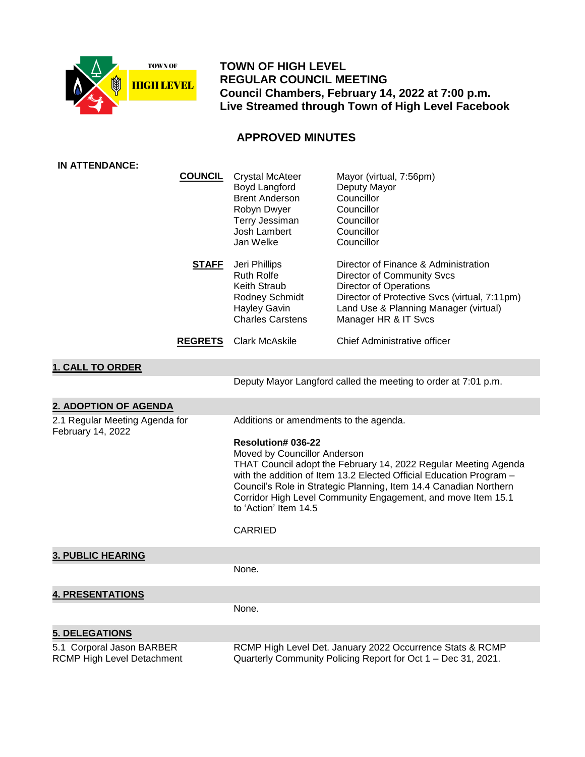

 **TOWN OF HIGH LEVEL REGULAR COUNCIL MEETING Council Chambers, February 14, 2022 at 7:00 p.m. Live Streamed through Town of High Level Facebook**

# **APPROVED MINUTES**

| <b>IN ATTENDANCE:</b>                                   |                |                                                                                                                                                                                                                                                                                                                                                                                     |                                                                                                                                                                                                                       |
|---------------------------------------------------------|----------------|-------------------------------------------------------------------------------------------------------------------------------------------------------------------------------------------------------------------------------------------------------------------------------------------------------------------------------------------------------------------------------------|-----------------------------------------------------------------------------------------------------------------------------------------------------------------------------------------------------------------------|
|                                                         | <b>COUNCIL</b> | <b>Crystal McAteer</b><br>Boyd Langford<br><b>Brent Anderson</b><br>Robyn Dwyer<br>Terry Jessiman<br>Josh Lambert<br>Jan Welke                                                                                                                                                                                                                                                      | Mayor (virtual, 7:56pm)<br>Deputy Mayor<br>Councillor<br>Councillor<br>Councillor<br>Councillor<br>Councillor                                                                                                         |
|                                                         | <u>STAFF</u>   | Jeri Phillips<br><b>Ruth Rolfe</b><br>Keith Straub<br>Rodney Schmidt<br><b>Hayley Gavin</b><br><b>Charles Carstens</b>                                                                                                                                                                                                                                                              | Director of Finance & Administration<br>Director of Community Svcs<br><b>Director of Operations</b><br>Director of Protective Svcs (virtual, 7:11pm)<br>Land Use & Planning Manager (virtual)<br>Manager HR & IT Svcs |
|                                                         | <b>REGRETS</b> | <b>Clark McAskile</b>                                                                                                                                                                                                                                                                                                                                                               | Chief Administrative officer                                                                                                                                                                                          |
| <b>1. CALL TO ORDER</b>                                 |                |                                                                                                                                                                                                                                                                                                                                                                                     |                                                                                                                                                                                                                       |
|                                                         |                |                                                                                                                                                                                                                                                                                                                                                                                     | Deputy Mayor Langford called the meeting to order at 7:01 p.m.                                                                                                                                                        |
| 2. ADOPTION OF AGENDA                                   |                |                                                                                                                                                                                                                                                                                                                                                                                     |                                                                                                                                                                                                                       |
| 2.1 Regular Meeting Agenda for<br>February 14, 2022     |                | Additions or amendments to the agenda.                                                                                                                                                                                                                                                                                                                                              |                                                                                                                                                                                                                       |
|                                                         |                | <b>Resolution# 036-22</b><br>Moved by Councillor Anderson<br>THAT Council adopt the February 14, 2022 Regular Meeting Agenda<br>with the addition of Item 13.2 Elected Official Education Program -<br>Council's Role in Strategic Planning, Item 14.4 Canadian Northern<br>Corridor High Level Community Engagement, and move Item 15.1<br>to 'Action' Item 14.5<br><b>CARRIED</b> |                                                                                                                                                                                                                       |
|                                                         |                |                                                                                                                                                                                                                                                                                                                                                                                     |                                                                                                                                                                                                                       |
| <b>3. PUBLIC HEARING</b>                                |                | None.                                                                                                                                                                                                                                                                                                                                                                               |                                                                                                                                                                                                                       |
|                                                         |                |                                                                                                                                                                                                                                                                                                                                                                                     |                                                                                                                                                                                                                       |
| <b>4. PRESENTATIONS</b>                                 |                |                                                                                                                                                                                                                                                                                                                                                                                     |                                                                                                                                                                                                                       |
|                                                         |                | None.                                                                                                                                                                                                                                                                                                                                                                               |                                                                                                                                                                                                                       |
| <b>5. DELEGATIONS</b>                                   |                |                                                                                                                                                                                                                                                                                                                                                                                     |                                                                                                                                                                                                                       |
| 5.1 Corporal Jason BARBER<br>RCMP High Level Detachment |                | RCMP High Level Det. January 2022 Occurrence Stats & RCMP<br>Quarterly Community Policing Report for Oct 1 - Dec 31, 2021.                                                                                                                                                                                                                                                          |                                                                                                                                                                                                                       |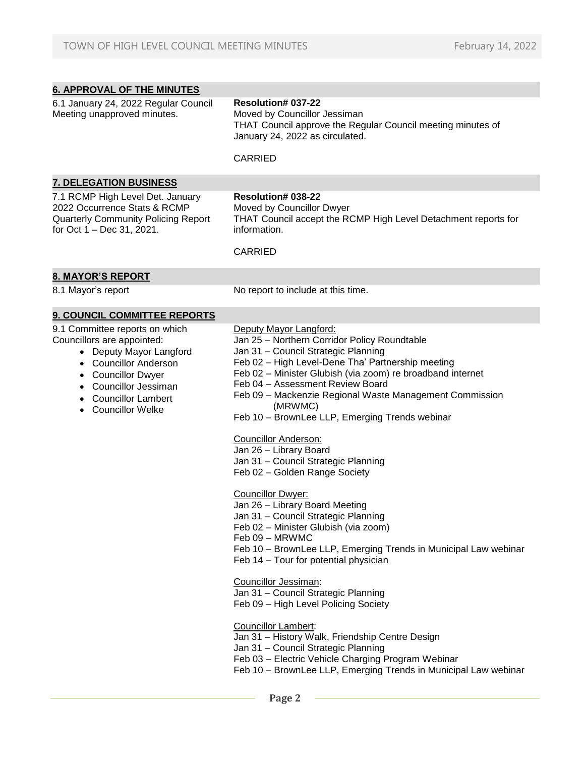| <b>6. APPROVAL OF THE MINUTES</b>                                                                                                                                                                                                 |                                                                                                                                                                                                                                                                                                                                                                                                                                                                                                                                                                                                                                                                                                                                                                                                                                                                                                                                                                                                                                                                                                                                                                  |
|-----------------------------------------------------------------------------------------------------------------------------------------------------------------------------------------------------------------------------------|------------------------------------------------------------------------------------------------------------------------------------------------------------------------------------------------------------------------------------------------------------------------------------------------------------------------------------------------------------------------------------------------------------------------------------------------------------------------------------------------------------------------------------------------------------------------------------------------------------------------------------------------------------------------------------------------------------------------------------------------------------------------------------------------------------------------------------------------------------------------------------------------------------------------------------------------------------------------------------------------------------------------------------------------------------------------------------------------------------------------------------------------------------------|
| 6.1 January 24, 2022 Regular Council<br>Meeting unapproved minutes.                                                                                                                                                               | <b>Resolution# 037-22</b><br>Moved by Councillor Jessiman<br>THAT Council approve the Regular Council meeting minutes of<br>January 24, 2022 as circulated.                                                                                                                                                                                                                                                                                                                                                                                                                                                                                                                                                                                                                                                                                                                                                                                                                                                                                                                                                                                                      |
|                                                                                                                                                                                                                                   | <b>CARRIED</b>                                                                                                                                                                                                                                                                                                                                                                                                                                                                                                                                                                                                                                                                                                                                                                                                                                                                                                                                                                                                                                                                                                                                                   |
| <b>7. DELEGATION BUSINESS</b>                                                                                                                                                                                                     |                                                                                                                                                                                                                                                                                                                                                                                                                                                                                                                                                                                                                                                                                                                                                                                                                                                                                                                                                                                                                                                                                                                                                                  |
| 7.1 RCMP High Level Det. January<br>2022 Occurrence Stats & RCMP<br><b>Quarterly Community Policing Report</b><br>for Oct 1 - Dec 31, 2021.                                                                                       | Resolution# 038-22<br>Moved by Councillor Dwyer<br>THAT Council accept the RCMP High Level Detachment reports for<br>information.                                                                                                                                                                                                                                                                                                                                                                                                                                                                                                                                                                                                                                                                                                                                                                                                                                                                                                                                                                                                                                |
|                                                                                                                                                                                                                                   | <b>CARRIED</b>                                                                                                                                                                                                                                                                                                                                                                                                                                                                                                                                                                                                                                                                                                                                                                                                                                                                                                                                                                                                                                                                                                                                                   |
| <b>8. MAYOR'S REPORT</b>                                                                                                                                                                                                          |                                                                                                                                                                                                                                                                                                                                                                                                                                                                                                                                                                                                                                                                                                                                                                                                                                                                                                                                                                                                                                                                                                                                                                  |
| 8.1 Mayor's report                                                                                                                                                                                                                | No report to include at this time.                                                                                                                                                                                                                                                                                                                                                                                                                                                                                                                                                                                                                                                                                                                                                                                                                                                                                                                                                                                                                                                                                                                               |
| 9. COUNCIL COMMITTEE REPORTS                                                                                                                                                                                                      |                                                                                                                                                                                                                                                                                                                                                                                                                                                                                                                                                                                                                                                                                                                                                                                                                                                                                                                                                                                                                                                                                                                                                                  |
| 9.1 Committee reports on which<br>Councillors are appointed:<br>• Deputy Mayor Langford<br>• Councillor Anderson<br><b>Councillor Dwyer</b><br><b>Councillor Jessiman</b><br><b>Councillor Lambert</b><br><b>Councillor Welke</b> | Deputy Mayor Langford:<br>Jan 25 - Northern Corridor Policy Roundtable<br>Jan 31 - Council Strategic Planning<br>Feb 02 - High Level-Dene Tha' Partnership meeting<br>Feb 02 - Minister Glubish (via zoom) re broadband internet<br>Feb 04 - Assessment Review Board<br>Feb 09 - Mackenzie Regional Waste Management Commission<br>(MRWMC)<br>Feb 10 - BrownLee LLP, Emerging Trends webinar<br><b>Councillor Anderson:</b><br>Jan 26 - Library Board<br>Jan 31 - Council Strategic Planning<br>Feb 02 - Golden Range Society<br><b>Councillor Dwyer:</b><br>Jan 26 - Library Board Meeting<br>Jan 31 - Council Strategic Planning<br>Feb 02 - Minister Glubish (via zoom)<br>Feb 09 - MRWMC<br>Feb 10 - BrownLee LLP, Emerging Trends in Municipal Law webinar<br>Feb 14 - Tour for potential physician<br>Councillor Jessiman:<br>Jan 31 - Council Strategic Planning<br>Feb 09 - High Level Policing Society<br><b>Councillor Lambert:</b><br>Jan 31 - History Walk, Friendship Centre Design<br>Jan 31 - Council Strategic Planning<br>Feb 03 - Electric Vehicle Charging Program Webinar<br>Feb 10 - BrownLee LLP, Emerging Trends in Municipal Law webinar |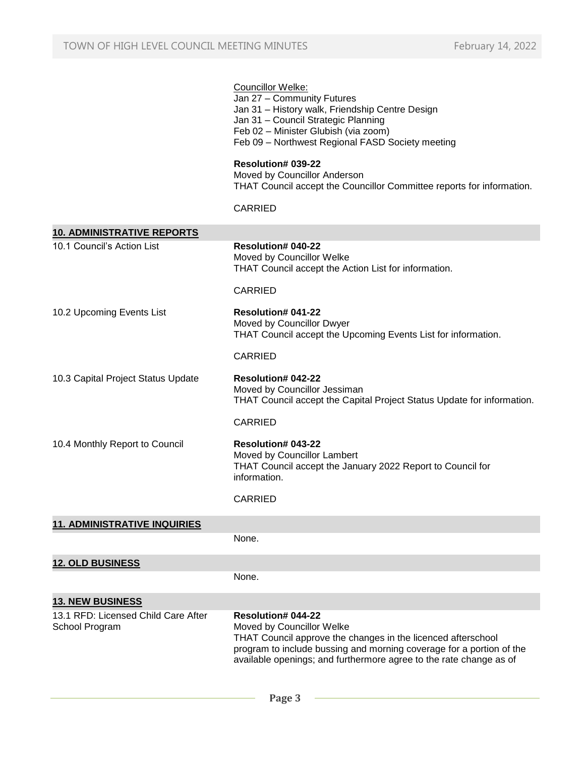#### Councillor Welke:

- Jan 27 Community Futures Jan 31 – History walk, Friendship Centre Design Jan 31 – Council Strategic Planning
	- Feb 02 Minister Glubish (via zoom)
	- Feb 09 Northwest Regional FASD Society meeting

#### **Resolution# 039-22**

Moved by Councillor Anderson THAT Council accept the Councillor Committee reports for information.

#### CARRIED

| <b>10. ADMINISTRATIVE REPORTS</b>                     |                                                                                                                                                                                                                                                               |
|-------------------------------------------------------|---------------------------------------------------------------------------------------------------------------------------------------------------------------------------------------------------------------------------------------------------------------|
| 10.1 Council's Action List                            | <b>Resolution# 040-22</b><br>Moved by Councillor Welke                                                                                                                                                                                                        |
|                                                       | THAT Council accept the Action List for information.                                                                                                                                                                                                          |
|                                                       | CARRIED                                                                                                                                                                                                                                                       |
| 10.2 Upcoming Events List                             | <b>Resolution# 041-22</b><br>Moved by Councillor Dwyer<br>THAT Council accept the Upcoming Events List for information.                                                                                                                                       |
|                                                       | <b>CARRIED</b>                                                                                                                                                                                                                                                |
| 10.3 Capital Project Status Update                    | <b>Resolution# 042-22</b><br>Moved by Councillor Jessiman<br>THAT Council accept the Capital Project Status Update for information.                                                                                                                           |
|                                                       | CARRIED                                                                                                                                                                                                                                                       |
| 10.4 Monthly Report to Council                        | <b>Resolution# 043-22</b><br>Moved by Councillor Lambert<br>THAT Council accept the January 2022 Report to Council for<br>information.                                                                                                                        |
|                                                       | <b>CARRIED</b>                                                                                                                                                                                                                                                |
| <b>11. ADMINISTRATIVE INQUIRIES</b>                   |                                                                                                                                                                                                                                                               |
|                                                       | None.                                                                                                                                                                                                                                                         |
| <b>12. OLD BUSINESS</b>                               |                                                                                                                                                                                                                                                               |
|                                                       | None.                                                                                                                                                                                                                                                         |
| <b>13. NEW BUSINESS</b>                               |                                                                                                                                                                                                                                                               |
| 13.1 RFD: Licensed Child Care After<br>School Program | Resolution# 044-22<br>Moved by Councillor Welke<br>THAT Council approve the changes in the licenced afterschool<br>program to include bussing and morning coverage for a portion of the<br>available openings; and furthermore agree to the rate change as of |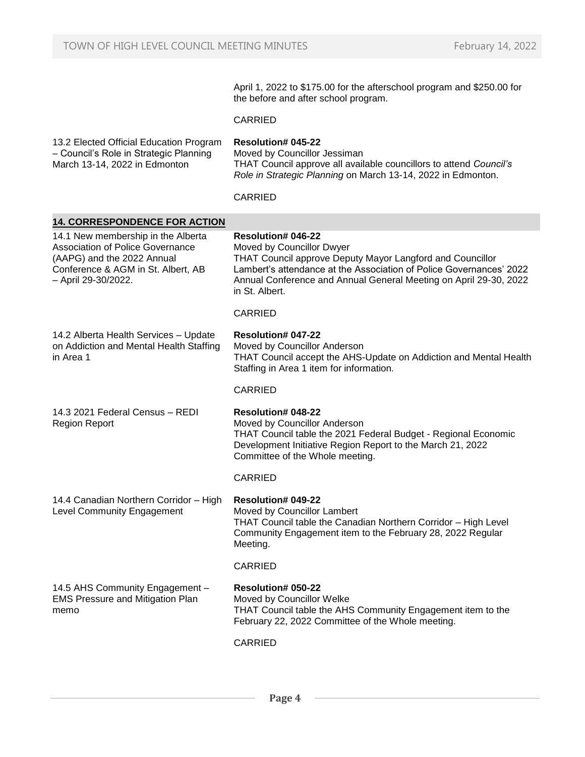April 1, 2022 to \$175.00 for the afterschool program and \$250.00 for the before and after school program.

#### CARRIED

13.2 Elected Official Education Program – Council's Role in Strategic Planning March 13-14, 2022 in Edmonton **Resolution# 045-22**

Moved by Councillor Jessiman THAT Council approve all available councillors to attend *Council's Role in Strategic Planning* on March 13-14, 2022 in Edmonton.

CARRIED

| <b>14. CORRESPONDENCE FOR ACTION</b>                                                                                                                                     |                                                                                                                                                                                                                                                                                   |
|--------------------------------------------------------------------------------------------------------------------------------------------------------------------------|-----------------------------------------------------------------------------------------------------------------------------------------------------------------------------------------------------------------------------------------------------------------------------------|
| 14.1 New membership in the Alberta<br><b>Association of Police Governance</b><br>(AAPG) and the 2022 Annual<br>Conference & AGM in St. Albert, AB<br>- April 29-30/2022. | <b>Resolution# 046-22</b><br>Moved by Councillor Dwyer<br>THAT Council approve Deputy Mayor Langford and Councillor<br>Lambert's attendance at the Association of Police Governances' 2022<br>Annual Conference and Annual General Meeting on April 29-30, 2022<br>in St. Albert. |
|                                                                                                                                                                          | <b>CARRIED</b>                                                                                                                                                                                                                                                                    |
| 14.2 Alberta Health Services - Update<br>on Addiction and Mental Health Staffing<br>in Area 1                                                                            | <b>Resolution# 047-22</b><br>Moved by Councillor Anderson<br>THAT Council accept the AHS-Update on Addiction and Mental Health<br>Staffing in Area 1 item for information.                                                                                                        |
|                                                                                                                                                                          | <b>CARRIED</b>                                                                                                                                                                                                                                                                    |
| 14.3 2021 Federal Census - REDI<br><b>Region Report</b>                                                                                                                  | <b>Resolution# 048-22</b><br>Moved by Councillor Anderson<br>THAT Council table the 2021 Federal Budget - Regional Economic<br>Development Initiative Region Report to the March 21, 2022<br>Committee of the Whole meeting.                                                      |
|                                                                                                                                                                          | <b>CARRIED</b>                                                                                                                                                                                                                                                                    |
| 14.4 Canadian Northern Corridor - High<br><b>Level Community Engagement</b>                                                                                              | Resolution# 049-22<br>Moved by Councillor Lambert<br>THAT Council table the Canadian Northern Corridor - High Level<br>Community Engagement item to the February 28, 2022 Regular<br>Meeting.                                                                                     |
|                                                                                                                                                                          | <b>CARRIED</b>                                                                                                                                                                                                                                                                    |
| 14.5 AHS Community Engagement -<br><b>EMS Pressure and Mitigation Plan</b><br>memo                                                                                       | <b>Resolution# 050-22</b><br>Moved by Councillor Welke<br>THAT Council table the AHS Community Engagement item to the<br>February 22, 2022 Committee of the Whole meeting.                                                                                                        |
|                                                                                                                                                                          | <b>CARRIED</b>                                                                                                                                                                                                                                                                    |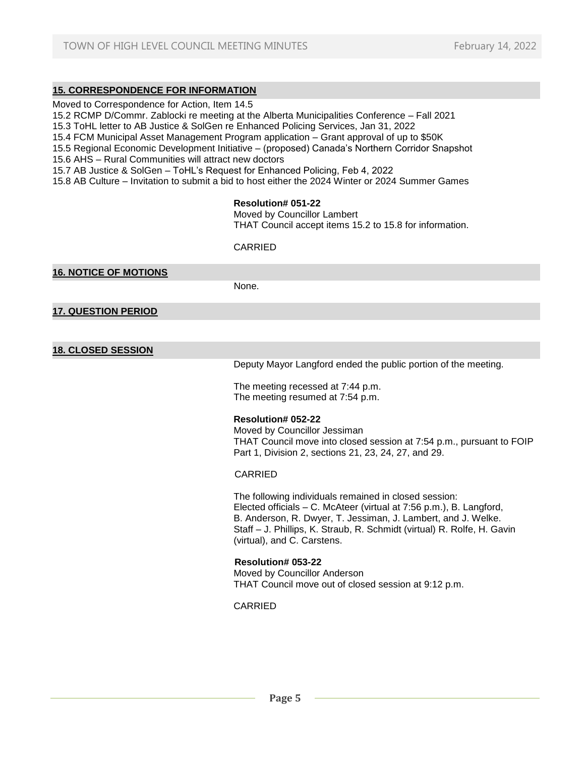# **15. CORRESPONDENCE FOR INFORMATION**

Moved to Correspondence for Action, Item 14.5

15.2 RCMP D/Commr. Zablocki re meeting at the Alberta Municipalities Conference – Fall 2021

15.3 ToHL letter to AB Justice & SolGen re Enhanced Policing Services, Jan 31, 2022

15.4 FCM Municipal Asset Management Program application – Grant approval of up to \$50K

15.5 Regional Economic Development Initiative – (proposed) Canada's Northern Corridor Snapshot

15.6 AHS – Rural Communities will attract new doctors

15.7 AB Justice & SolGen – ToHL's Request for Enhanced Policing, Feb 4, 2022

15.8 AB Culture – Invitation to submit a bid to host either the 2024 Winter or 2024 Summer Games

#### **Resolution# 051-22**

Moved by Councillor Lambert THAT Council accept items 15.2 to 15.8 for information.

CARRIED

**16. NOTICE OF MOTIONS**

None.

**17. QUESTION PERIOD**

**18. CLOSED SESSION**

Deputy Mayor Langford ended the public portion of the meeting.

The meeting recessed at 7:44 p.m. The meeting resumed at 7:54 p.m.

#### **Resolution# 052-22**

Moved by Councillor Jessiman THAT Council move into closed session at 7:54 p.m., pursuant to FOIP Part 1, Division 2, sections 21, 23, 24, 27, and 29.

#### CARRIED

The following individuals remained in closed session: Elected officials – C. McAteer (virtual at 7:56 p.m.), B. Langford, B. Anderson, R. Dwyer, T. Jessiman, J. Lambert, and J. Welke. Staff – J. Phillips, K. Straub, R. Schmidt (virtual) R. Rolfe, H. Gavin (virtual), and C. Carstens.

 **Resolution# 053-22** Moved by Councillor Anderson THAT Council move out of closed session at 9:12 p.m.

CARRIED